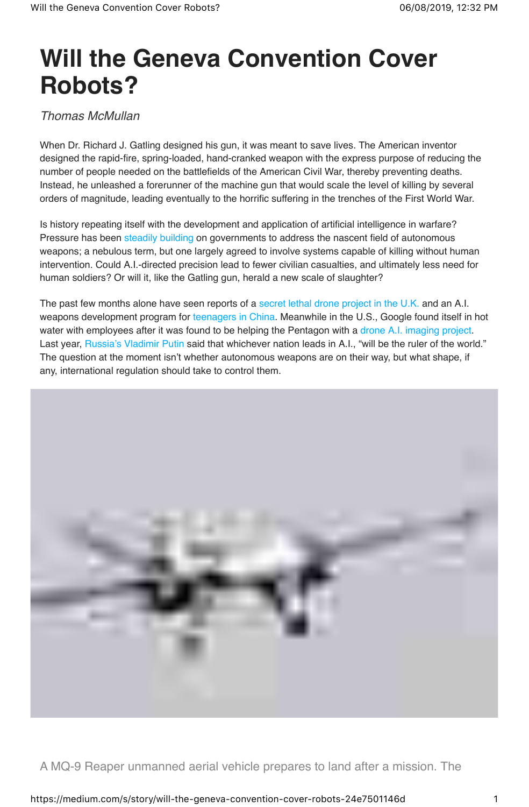## **Will the Geneva Convention Cover Robots?**

Thomas McMullan

When Dr. Richard J. Gatling designed his gun, it was meant to save lives. The American inventor designed the rapid-fire, spring-loaded, hand-cranked weapon with the express purpose of reducing the number of people needed on the battlefields of the American Civil War, thereby preventing deaths. Instead, he unleashed a forerunner of the machine gun that would scale the level of killing by several orders of magnitude, leading eventually to the horrific suffering in the trenches of the First World War.

Is history repeating itself with the development and application of artificial intelligence in warfare? Pressure has been steadily building on governments to address the nascent field of autonomous weapons; a nebulous term, but one largely agreed to involve systems capable of killing without human intervention. Could A.I.-directed precision lead to fewer civilian casualties, and ultimately less need for human soldiers? Or will it, like the Gatling gun, herald a new scale of slaughter?

The past few months alone have seen reports of a secret lethal drone project in the U.K. and an A.I. weapons development program for teenagers in China. Meanwhile in the U.S., Google found itself in hot water with employees after it was found to be helping the Pentagon with a drone A.I. imaging project. Last year, Russia's Vladimir Putin said that whichever nation leads in A.I., "will be the ruler of the world." The question at the moment isn't whether autonomous weapons are on their way, but what shape, if any, international regulation should take to control them.



A MQ-9 Reaper unmanned aerial vehicle prepares to land after a mission. The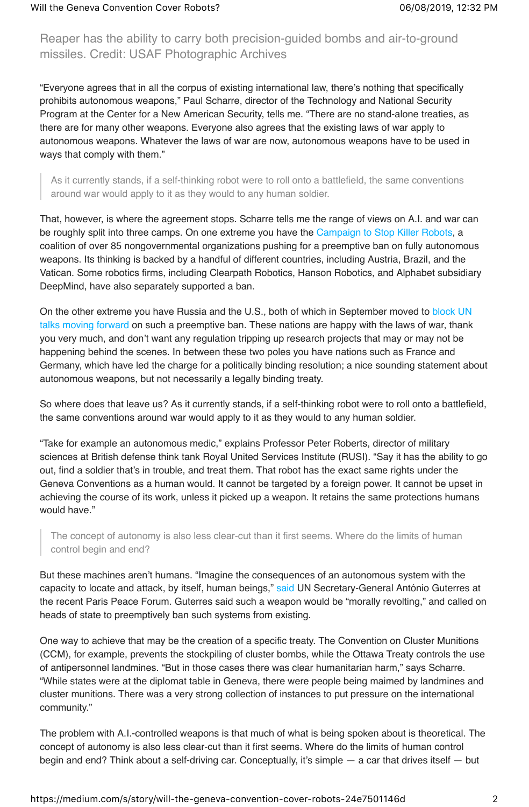Reaper has the ability to carry both precision-guided bombs and air-to-ground missiles. Credit: USAF Photographic Archives

"Everyone agrees that in all the corpus of existing international law, there's nothing that specifically prohibits autonomous weapons," Paul Scharre, director of the Technology and National Security Program at the Center for a New American Security, tells me. "There are no stand-alone treaties, as there are for many other weapons. Everyone also agrees that the existing laws of war apply to autonomous weapons. Whatever the laws of war are now, autonomous weapons have to be used in ways that comply with them."

As it currently stands, if a self-thinking robot were to roll onto a battlefield, the same conventions around war would apply to it as they would to any human soldier.

That, however, is where the agreement stops. Scharre tells me the range of views on A.I. and war can be roughly split into three camps. On one extreme you have the Campaign to Stop Killer Robots, a coalition of over 85 nongovernmental organizations pushing for a preemptive ban on fully autonomous weapons. Its thinking is backed by a handful of different countries, including Austria, Brazil, and the Vatican. Some robotics firms, including Clearpath Robotics, Hanson Robotics, and Alphabet subsidiary DeepMind, have also separately supported a ban.

On the other extreme you have Russia and the U.S., both of which in September moved to block UN talks moving forward on such a preemptive ban. These nations are happy with the laws of war, thank you very much, and don't want any regulation tripping up research projects that may or may not be happening behind the scenes. In between these two poles you have nations such as France and Germany, which have led the charge for a politically binding resolution; a nice sounding statement about autonomous weapons, but not necessarily a legally binding treaty.

So where does that leave us? As it currently stands, if a self-thinking robot were to roll onto a battlefield, the same conventions around war would apply to it as they would to any human soldier.

"Take for example an autonomous medic," explains Professor Peter Roberts, director of military sciences at British defense think tank Royal United Services Institute (RUSI). "Say it has the ability to go out, find a soldier that's in trouble, and treat them. That robot has the exact same rights under the Geneva Conventions as a human would. It cannot be targeted by a foreign power. It cannot be upset in achieving the course of its work, unless it picked up a weapon. It retains the same protections humans would have."

The concept of autonomy is also less clear-cut than it first seems. Where do the limits of human control begin and end?

But these machines aren't humans. "Imagine the consequences of an autonomous system with the capacity to locate and attack, by itself, human beings," said UN Secretary-General António Guterres at the recent Paris Peace Forum. Guterres said such a weapon would be "morally revolting," and called on heads of state to preemptively ban such systems from existing.

One way to achieve that may be the creation of a specific treaty. The Convention on Cluster Munitions (CCM), for example, prevents the stockpiling of cluster bombs, while the Ottawa Treaty controls the use of antipersonnel landmines. "But in those cases there was clear humanitarian harm," says Scharre. "While states were at the diplomat table in Geneva, there were people being maimed by landmines and cluster munitions. There was a very strong collection of instances to put pressure on the international community."

The problem with A.I.-controlled weapons is that much of what is being spoken about is theoretical. The concept of autonomy is also less clear-cut than it first seems. Where do the limits of human control begin and end? Think about a self-driving car. Conceptually, it's simple — a car that drives itself — but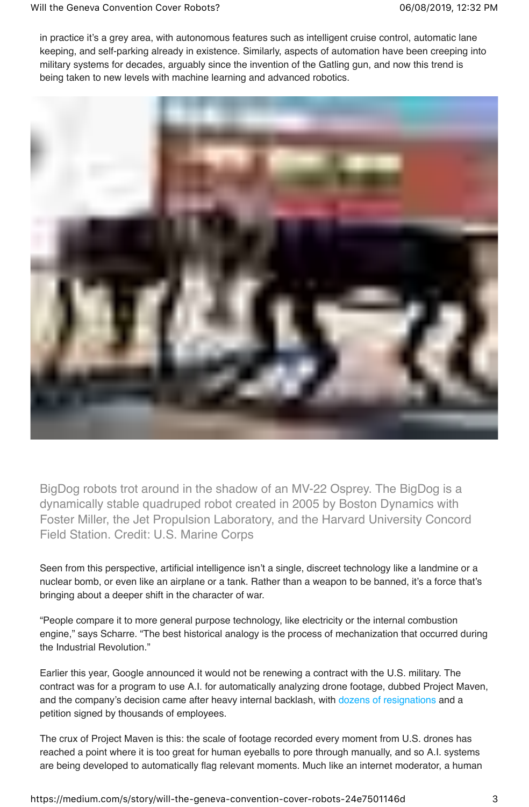in practice it's a grey area, with autonomous features such as intelligent cruise control, automatic lane keeping, and self-parking already in existence. Similarly, aspects of automation have been creeping into military systems for decades, arguably since the invention of the Gatling gun, and now this trend is being taken to new levels with machine learning and advanced robotics.



BigDog robots trot around in the shadow of an MV-22 Osprey. The BigDog is a dynamically stable quadruped robot created in 2005 by Boston Dynamics with Foster Miller, the Jet Propulsion Laboratory, and the Harvard University Concord Field Station. Credit: U.S. Marine Corps

Seen from this perspective, artificial intelligence isn't a single, discreet technology like a landmine or a nuclear bomb, or even like an airplane or a tank. Rather than a weapon to be banned, it's a force that's bringing about a deeper shift in the character of war.

"People compare it to more general purpose technology, like electricity or the internal combustion engine," says Scharre. "The best historical analogy is the process of mechanization that occurred during the Industrial Revolution."

Earlier this year, Google announced it would not be renewing a contract with the U.S. military. The contract was for a program to use A.I. for automatically analyzing drone footage, dubbed Project Maven, and the company's decision came after heavy internal backlash, with dozens of resignations and a petition signed by thousands of employees.

The crux of Project Maven is this: the scale of footage recorded every moment from U.S. drones has reached a point where it is too great for human eyeballs to pore through manually, and so A.I. systems are being developed to automatically flag relevant moments. Much like an internet moderator, a human